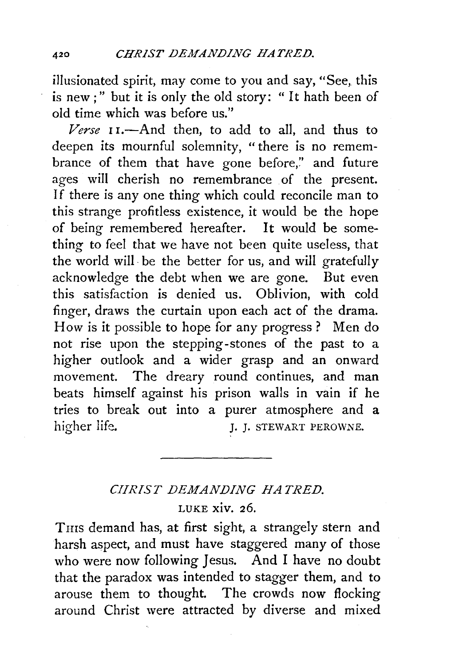illusionated spirit, may come *to* you and say, "See,\_ this is new ; " but it is only the old story: " It hath been of old time which was before us."

*Verse* 11.-And then, *to* add *to* all, and thus to deepen its mournful solemnity, "there is no remembrance of them that have gone before," and future ages will cherish no remembrance of the present. If there is any one thing which could reconcile man *to*  this strange profitless existence, it would be the hope of being remembered hereafter. It would be something *to* feel that we have not been quite useless, that the world will· be the better for us, and will gratefully acknowledge the debt when we are gone. But even this satisfaction is denied us. Oblivion, with cold finger, draws the curtain upon each act of the drama. How is it possible to hope for any progress? Men do not rise upon the stepping-stones of the past to a higher outlook and a wider grasp and an onward movement. The dreary round continues, and man beats himself against his prison walls in vain if he tries to break out into a purer atmosphere and a higher life. J. J. STEWART PEROWNE.

## *CIIRIST DEMANDING HATRED.*  LUKE xiv. 26.

THIS demand has, at first sight, a strangely stern and harsh aspect, and must have staggered many of those who were now following Jesus. And I have no doubt that the paradox was intended to stagger them, and to arouse them to thought. The crowds now flocking around Christ were attracted by diverse and mixed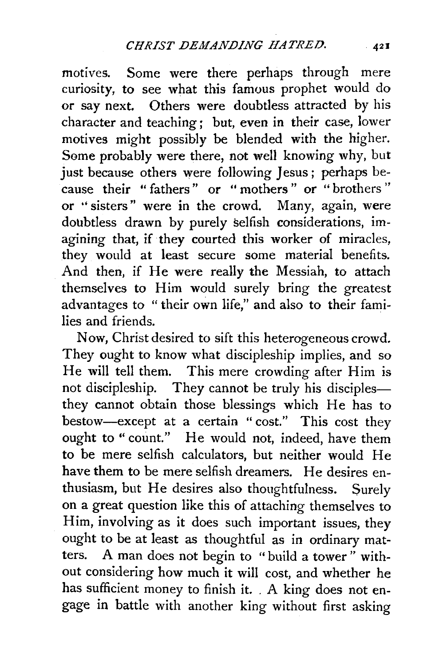motives. Some were there perhaps through mere curiosity, to see what this famous prophet would do or say next. Others were doubtless attracted by his character and teaching ; but, even in their case, lower motives might possibly be blended with the higher. Some probably were there, not well knowing why, but just because others were following Jesus; perhaps because their " fathers " or " mothers " or " brothers " or "sisters" were in the crowd. Many, again, were doubtless drawn by purely selfish considerations, imagining that, if they courted this worker of miracles, they would at least secure some material benefits. And then, if He were really the Messiah, to attach themselves to Him would surely bring the greatest advantages to "their own life," and also to their families and friends.

Now, Christ desired to sift this heterogeneous crowd. They ought to know what discipleship implies, and so He will tell them. This mere crowding after Him is not discipleship. They cannot be truly his disciplesthey cannot obtain those blessings which He has to bestow-except at a certain "cost." This cost they ought to "count." He would not, indeed, have them to be mere selfish calculators, but neither would He have them to be mere selfish dreamers. He desires enthusiasm, but He desires also thoughtfulness. Surely on a great question like this of attaching themselves to Him, involving as it does such important issues, they ought to be at least as thoughtful as in ordinary matters. A man does not begin to " build a tower " without considering how much it will cost, and whether he has sufficient money to finish it. . A king does not engage in battle with another king without first asking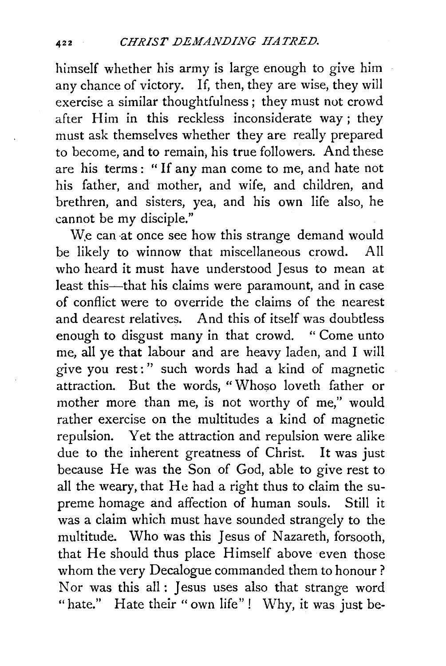himself whether his army is large enough to give him any chance of victory. If, then, they are wise, they will exercise a similar thoughtfulness ; they must not crowd after Him in this reckless inconsiderate way; they must ask themselves whether they are really prepared to become, and to remain, his true followers. And these are his terms : " If any man come to me, and hate not his father, and mother, and wife, and children, and brethren, and sisters, yea, and his own life also, he cannot be my disciple."

W<sub>e</sub> can at once see how this strange demand would be likely to winnow that miscellaneous crowd. All who heard it must have understood Jesus to mean at least this-that his claims were paramount, and in case of conflict were to override the claims of the nearest and dearest relatives. And this of itself was doubtless enough to disgust many in that crowd. " Come unto me, all ye that labour and are heavy laden, and I will give you rest:" such words had a kind of magnetic attraction. But the words, "Whoso loveth father or mother more than me, is not worthy of me," would rather exercise on the multitudes a kind of magnetic repulsion. Yet the attraction and repulsion were alike due to the inherent greatness of Christ. It was just because He was the Son of God, able to give rest to all the weary, that He had a right thus to claim the supreme homage and affection of human souls. Still it was a claim which must have sounded strangely to the multitude. Who was this Jesus of Nazareth, forsooth, that He should thus place Himself above even those whom the very Decalogue commanded them to honour? Nor was this all : Jesus uses also that strange word "hate." Hate their "own life"! Why, it was just be-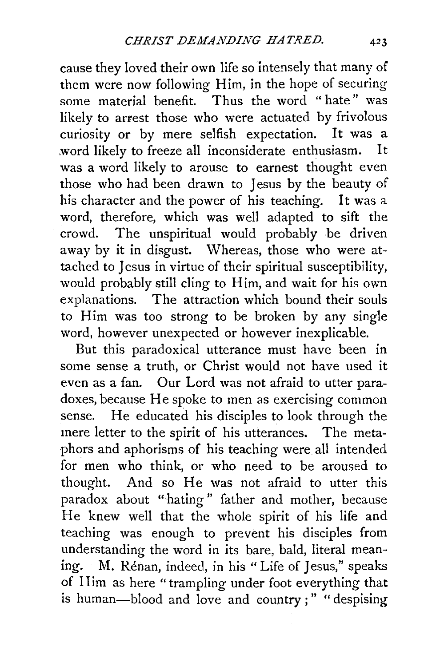cause they loved their own life so intensely that many of them were now following Him, in the hope of securing some material benefit. Thus the word " hate" was likely to arrest those who were actuated by frivolous curiosity or by mere selfish expectation. It was a word likely to freeze all inconsiderate enthusiasm. It was a word likely to arouse to earnest thought even those who had been drawn to Jesus by the beauty of his character and the power of his teaching. It was a word, therefore, which was well adapted to sift the crowd. The unspiritual would probably be driven away by it in disgust. Whereas, those who were attached to Jesus in virtue of their spiritual susceptibility, would probably still cling to Him, and wait for his own explanations. The attraction which bound their souls to Him was too strong to be broken by any single word, however unexpected or however inexplicable.

But this paradoxical utterance must have been in some sense a truth, or Christ would not have used it even as a fan. Our Lord was not afraid to utter paradoxes, because He spoke to men as exercising common sense. He educated his disciples to look through the mere letter to the spirit of his utterances. The metaphors and aphorisms of his teaching were all intended for men who think, or who need to be aroused to thought. And so He was not afraid to utter this paradox about "hating " father and mother, because He knew well that the whole spirit of his life and teaching was enough to prevent his disciples from understanding the word in its bare, bald, literal meaning. M. Renan, indeed, in his "Life of Jesus," speaks of Him as here "trampling under foot everything that is human-blood and love and country;" "despising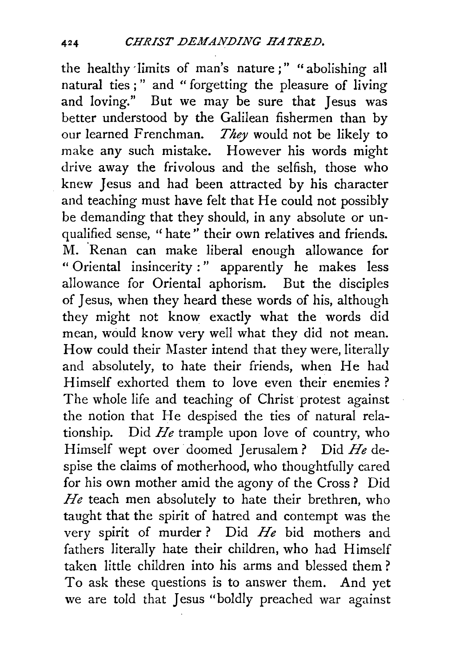the healthy 'limits of man's nature;" "abolishing all natural ties ; " and " forgetting the pleasure of living and loving." But we may be sure that Jesus was better understood by the Galilean fishermen than by our learned Frenchman. *They* would not be likely to make any such mistake. However his words might drive away the frivolous and the selfish, those who knew Jesus and had been attracted by his character and teaching must have felt that He could not possibly be demanding that they should, in any absolute or unqualified sense, "hate" their own relatives and friends. M. 'Renan can make liberal enough allowance for " Oriental insincerity : " apparently he makes less allowance for Oriental aphorism. But the disciples of Jesus, when they heard these words of his, although they might not know exactly what the words did mean, would know very well what they did not mean. How could their Master intend that they were, literally and absolutely, to hate their friends, when He had Himself exhorted them to love even their enemies ? The whole life and teaching of Christ protest against the notion that He despised the ties of natural relationship. Did *He* trample upon love of country, who Himself wept over doomed Jerusalem? Did *He* despise the claims of motherhood, who thoughtfully cared for his own mother amid the agony of the Cross ? Did *He* teach men absolutely to hate their brethren, who taught that the spirit of hatred and contempt was the very spirit of murder ? Did *He* bid mothers and fathers literally hate their children, who had Himself taken little children into his arms and blessed them ? To ask these questions is to answer them. And yet we are told that Jesus "boldly preached war against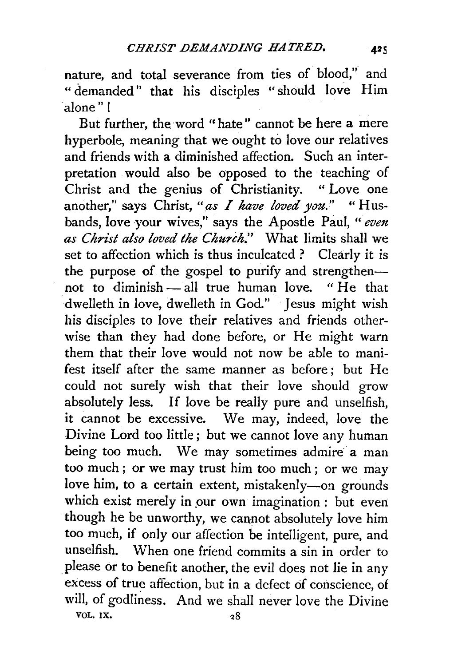nature, and total severance from ties of blood," and " demanded" that his disciples "should love Him 'alone"!

But further, the word "hate" cannot be here a mere hyperbole, meaning that we ought to love our relatives and friends with a diminished affection. Such an interpretation would also be opposed to the teaching of Christ and the genius of Christianity. " Love one another," says Christ, "as I have loved you." "Husbands, love your wives;'' says the Apostle Paul, " *even*  as Christ also loved the Church." What limits shall we set to affection which is thus inculcated? Clearly it is the purpose of the gospel to purify and strengthennot to diminish- all true human love. "He that dwelleth in love, dwelleth in God." Jesus might wish his disciples to love their relatives and friends otherwise than they had done before, or He might warn them that their love would not now be able to manifest itself after the same manner as before; but He could not surely wish that their love should grow absolutely less. If love be really pure and unselfish, it cannot be excessive. We may, indeed, love the Divine Lord too little; but we cannot love any human being too much. We may sometimes admire a man too much ; or we may trust him too much ; or we may love him, to a certain extent, mistakenly-on grounds which exist merely in our own imagination: but even though he be unworthy, we cannot absolutely love him too much, if only our affection be intelligent, pure, and unselfish. When one friend commits a sin in order to please or to benefit another, the evil does not lie in any excess of true affection, but in a defect of conscience, of will, of godliness. And we shall never love the Divine VOL. IX.  $28$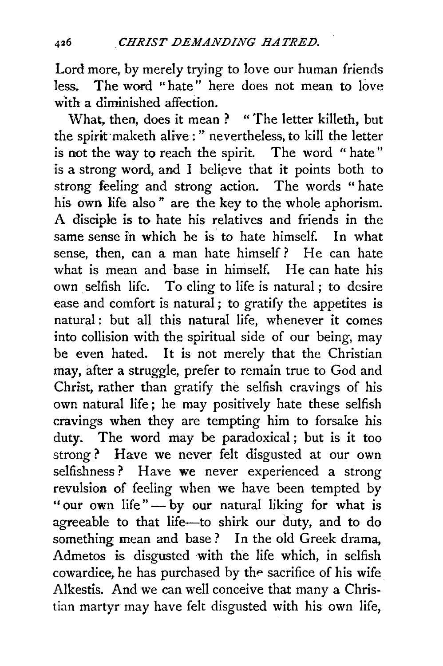Lord more, by merely trying to love our human friends less. The word "hate" here does not mean to love with a diminished affection.

What, then, does it mean ? " The letter killeth, but the spirit maketh alive : " nevertheless, to kill the letter is not the way to reach the spirit. The word " hate" is a strong word, and I believe that it points both to strong feeling and strong action. The words " hate his own life also" are the key to the whole aphorism. A disciple is to hate his relatives and friends in the same sense in which he is to hate himself. In what sense, then, can a man hate himself? He can hate what is mean and base in himself. He can hate his own selfish life. To cling to life is natural ; to desire ease and comfort is natural ; to gratify the appetites is natural : but all this natural life, whenever it comes into collision with the spiritual side of our being, may be even hated. It is not merely that the Christian may, after a struggle, prefer to remain true to God and Christ, rather than gratify the selfish cravings of his own natural life; he may positively hate these selfish cravings when they are tempting him to forsake his duty. The word may be paradoxical; but is it too strong? Have we never felt disgusted at our own selfishness? Have we never experienced a strong revulsion of feeling when we have been tempted by "our own life" - by our natural liking for what is agreeable to that life-to shirk our duty, and to do something mean and base ? In the old Greek drama, Admetos is disgusted with the life which, in selfish cowardice, he has purchased by the sacrifice of his wife Alkestis. And we can well conceive that many a Christian martyr may have felt disgusted with his own life,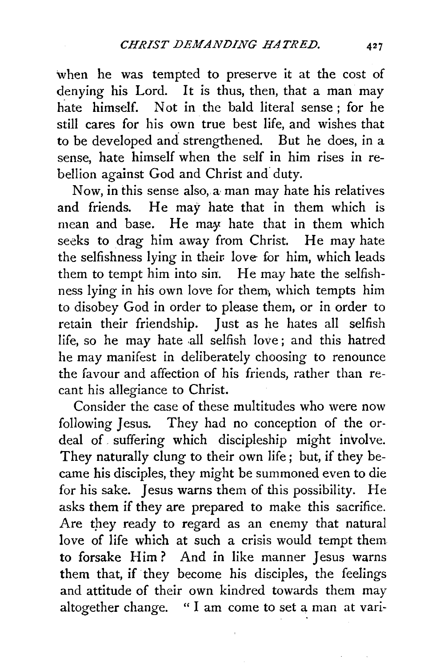when he was tempted to preserve it at the cost of denying his Lord. It is thus, then, that a man may hate himself. Not in the bald literal sense : for he still cares for his own true best life, and wishes that to be developed and strengthened. But he does, in a sense, hate himself when the self in him rises in rebellion against God and Christ and duty.

Now, in this sense also, a man may hate his relatives and friends. He may hate that in them which is mean and base. He may hate that in them which seeks to drag him away from Christ. He may hate the selfishness lying in their love for him, which leads them to tempt him into sin. He may hate the selfishness lying in his own love for them, which tempts him to disobey God in order to please them, or in order to retain their friendship. Just as he hates all selfish life, so he may hate all selfish love; and this hatred he may manifest in deliberately choosing to renounce the favour and affection of his friends, rather than recant his allegiance to Christ.

Consider the case of these multitudes who were now following Jesus. They had no conception of the ordeal of. suffering which discipleship might involve. They naturally clung to their own life ; but, if they became his disciples, they might be summoned even to die for his sake. Jesus warns them of this possibility. He asks them if they are prepared to make this sacrifice. Are they ready to regard as an enemy that natural love of life which at such a crisis would tempt them to forsake Him? And in like manner Jesus warns them that, if they become his disciples, the feelings and attitude of their own kindred towards them may altogether change. " I am come to set a man at vari-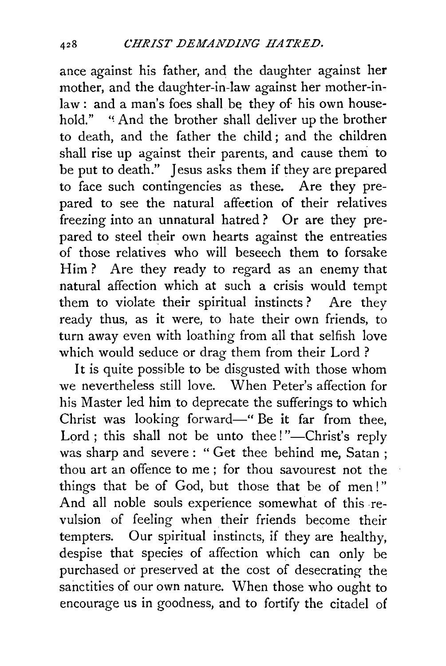ance against his father, and the daughter against her mother, and the daughter-in-law against her mother-inlaw: and a man's foes shall be they of his own household." "And the brother shall deliver up the brother to death, and the father the child ; and the children shall rise up against their parents, and cause them to be put to death." Jesus asks them if they are prepared to face such contingencies as these. Are they prepared to see the natural affection of their relatives freezing into an unnatural hatred ? Or are they prepared to steel their own hearts against the entreaties of those relatives who will beseech them to forsake Him? Are they ready to regard as an enemy that natural affection which at such a crisis would tempt them to violate their spiritual instincts ? Are they ready thus, as it were, to hate their own friends, to turn away even with loathing from all that selfish love which would seduce or drag them from their Lord ?

It is quite possible to be disgusted with those whom we nevertheless still love. When Peter's affection for his Master led him to deprecate the sufferings to which Christ was looking forward-" Be it far from thee, Lord ; this shall not be unto thee!"-Christ's reply was sharp and severe : " Get thee behind me, Satan ; thou art an offence to me ; for thou savourest not the things that be of God, but those that be of men!" And all noble souls experience somewhat of this revulsion of feeling when their friends become their tempters. Our spiritual instincts, if they are healthy, despise that species of affection which can only be purchased or preserved at the cost of desecrating the sanctities of our own nature. When those who ought to encourage us in goodness, and to fortify the citadel of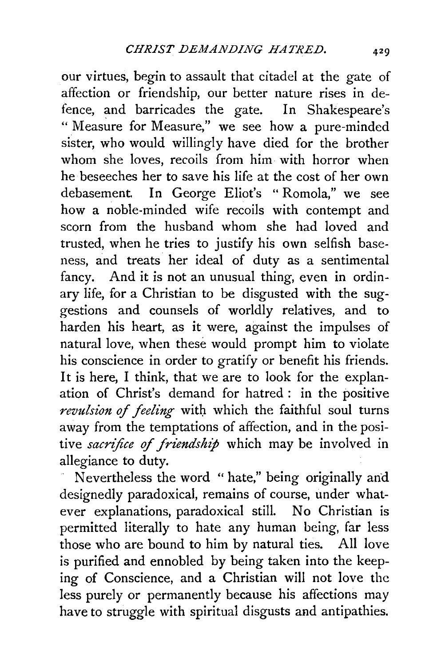our virtues, begin to assault that citadel at the gate of affection or friendship, our better nature rises in defence, and barricades the gate. In Shakespeare's "Measure for Measure," we see how a pure-minded sister, who would willingly have died for the brother whom she loves, recoils from him with horror when he beseeches her to save his life at the cost of her own debasement. In George Eliot's "Romola," we see how a noble-minded wife recoils with contempt and scorn from the husband whom she had loved and trusted, when he tries to justify his own selfish baseness, and treats her ideal of duty as a sentimental fancy. And it is not an unusual thing, even in ordinary life, for a Christian to be disgusted with the suggestions and counsels of worldly relatives, and to harden his heart, as it were, against the impulses of natural love, when these would prompt him to violate his conscience in order to gratify or benefit his friends. It is here, I think, that we are to look for the explanation of Christ's demand for hatred : in the positive revulsion of feeling with which the faithful soul turns away from the temptations of affection, and in the positive *sacrifice of friendship* which may be involved in allegiance to duty.

Nevertheless the word " hate," being originally and designedly paradoxical, remains of course, under whatever explanations, paradoxical still. No Christian is permitted literally to hate any human being, far less those who are bound to him by natural ties. All love is purified and ennobled by being taken into the keeping of Conscience, and a Christian will not love the less purely or permanently because his affections may have to struggle with spiritual disgusts and antipathies.